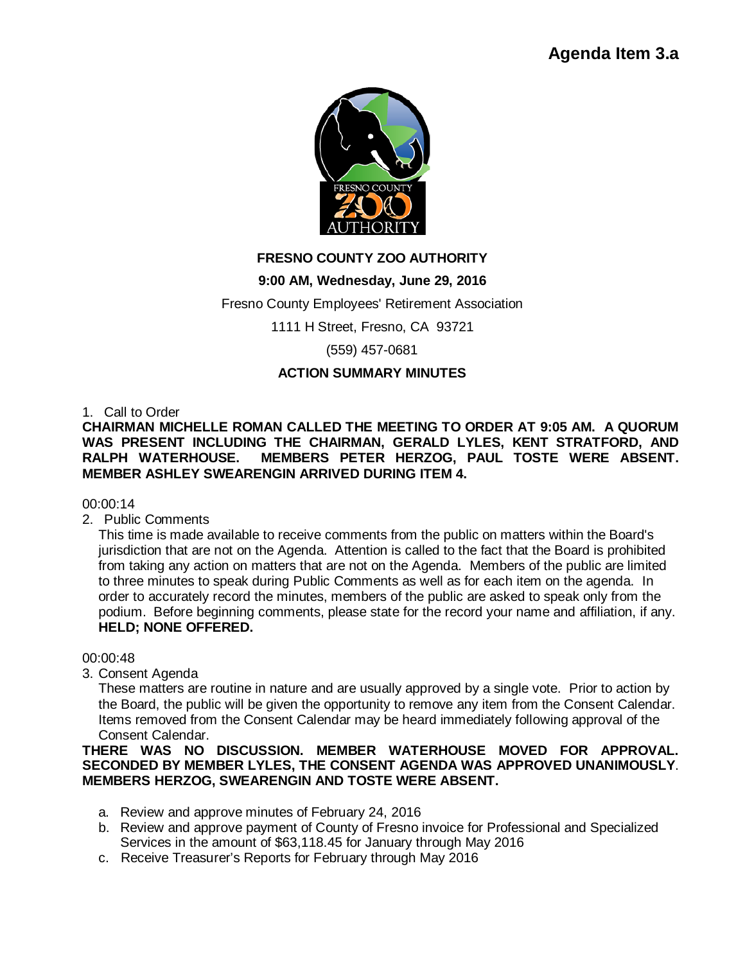

# **FRESNO COUNTY ZOO AUTHORITY**

## **9:00 AM, Wednesday, June 29, 2016**

Fresno County Employees' Retirement Association

1111 H Street, Fresno, CA 93721

(559) 457-0681

## **ACTION SUMMARY MINUTES**

1. Call to Order

**CHAIRMAN MICHELLE ROMAN CALLED THE MEETING TO ORDER AT 9:05 AM. A QUORUM WAS PRESENT INCLUDING THE CHAIRMAN, GERALD LYLES, KENT STRATFORD, AND MEMBERS PETER HERZOG, PAUL TOSTE WERE ABSENT. MEMBER ASHLEY SWEARENGIN ARRIVED DURING ITEM 4.**

## 00:00:14

2. Public Comments

This time is made available to receive comments from the public on matters within the Board's jurisdiction that are not on the Agenda. Attention is called to the fact that the Board is prohibited from taking any action on matters that are not on the Agenda. Members of the public are limited to three minutes to speak during Public Comments as well as for each item on the agenda. In order to accurately record the minutes, members of the public are asked to speak only from the podium. Before beginning comments, please state for the record your name and affiliation, if any. **HELD; NONE OFFERED.**

00:00:48

3. Consent Agenda

These matters are routine in nature and are usually approved by a single vote. Prior to action by the Board, the public will be given the opportunity to remove any item from the Consent Calendar. Items removed from the Consent Calendar may be heard immediately following approval of the Consent Calendar.

## **THERE WAS NO DISCUSSION. MEMBER WATERHOUSE MOVED FOR APPROVAL. SECONDED BY MEMBER LYLES, THE CONSENT AGENDA WAS APPROVED UNANIMOUSLY**. **MEMBERS HERZOG, SWEARENGIN AND TOSTE WERE ABSENT.**

- a. Review and approve minutes of February 24, 2016
- b. Review and approve payment of County of Fresno invoice for Professional and Specialized Services in the amount of \$63,118.45 for January through May 2016
- c. Receive Treasurer's Reports for February through May 2016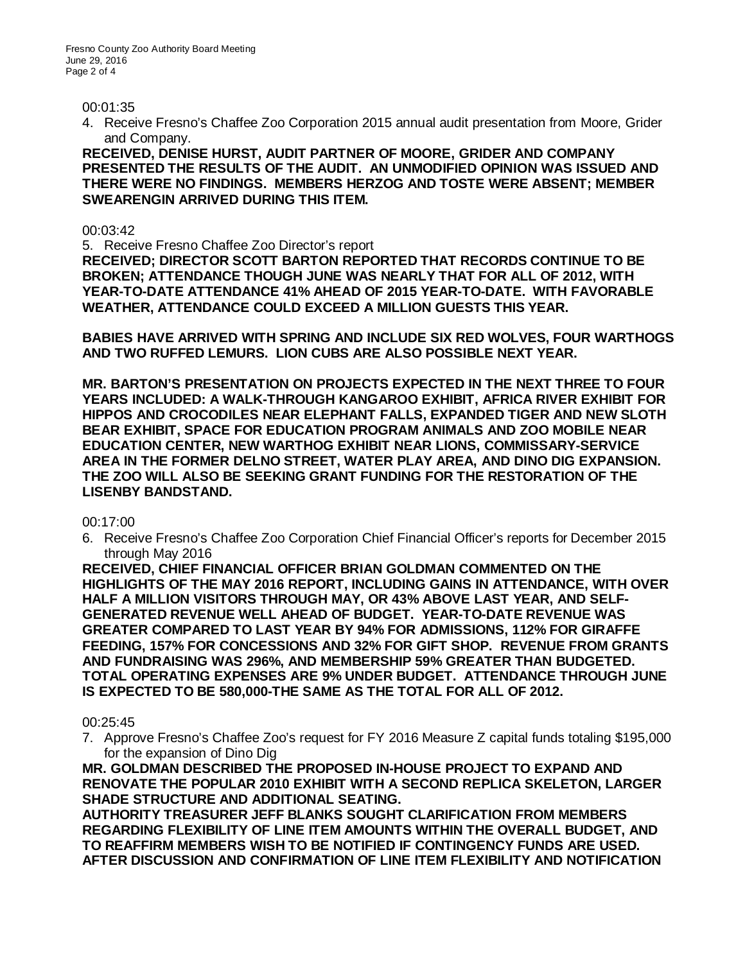#### 00:01:35

4. Receive Fresno's Chaffee Zoo Corporation 2015 annual audit presentation from Moore, Grider and Company.

**RECEIVED, DENISE HURST, AUDIT PARTNER OF MOORE, GRIDER AND COMPANY PRESENTED THE RESULTS OF THE AUDIT. AN UNMODIFIED OPINION WAS ISSUED AND THERE WERE NO FINDINGS. MEMBERS HERZOG AND TOSTE WERE ABSENT; MEMBER SWEARENGIN ARRIVED DURING THIS ITEM.**

00:03:42

5. Receive Fresno Chaffee Zoo Director's report

**RECEIVED; DIRECTOR SCOTT BARTON REPORTED THAT RECORDS CONTINUE TO BE BROKEN; ATTENDANCE THOUGH JUNE WAS NEARLY THAT FOR ALL OF 2012, WITH YEAR-TO-DATE ATTENDANCE 41% AHEAD OF 2015 YEAR-TO-DATE. WITH FAVORABLE WEATHER, ATTENDANCE COULD EXCEED A MILLION GUESTS THIS YEAR.** 

**BABIES HAVE ARRIVED WITH SPRING AND INCLUDE SIX RED WOLVES, FOUR WARTHOGS AND TWO RUFFED LEMURS. LION CUBS ARE ALSO POSSIBLE NEXT YEAR.**

**MR. BARTON'S PRESENTATION ON PROJECTS EXPECTED IN THE NEXT THREE TO FOUR YEARS INCLUDED: A WALK-THROUGH KANGAROO EXHIBIT, AFRICA RIVER EXHIBIT FOR HIPPOS AND CROCODILES NEAR ELEPHANT FALLS, EXPANDED TIGER AND NEW SLOTH BEAR EXHIBIT, SPACE FOR EDUCATION PROGRAM ANIMALS AND ZOO MOBILE NEAR EDUCATION CENTER, NEW WARTHOG EXHIBIT NEAR LIONS, COMMISSARY-SERVICE AREA IN THE FORMER DELNO STREET, WATER PLAY AREA, AND DINO DIG EXPANSION. THE ZOO WILL ALSO BE SEEKING GRANT FUNDING FOR THE RESTORATION OF THE LISENBY BANDSTAND.**

#### 00:17:00

6. Receive Fresno's Chaffee Zoo Corporation Chief Financial Officer's reports for December 2015 through May 2016

**RECEIVED, CHIEF FINANCIAL OFFICER BRIAN GOLDMAN COMMENTED ON THE HIGHLIGHTS OF THE MAY 2016 REPORT, INCLUDING GAINS IN ATTENDANCE, WITH OVER HALF A MILLION VISITORS THROUGH MAY, OR 43% ABOVE LAST YEAR, AND SELF-GENERATED REVENUE WELL AHEAD OF BUDGET. YEAR-TO-DATE REVENUE WAS GREATER COMPARED TO LAST YEAR BY 94% FOR ADMISSIONS, 112% FOR GIRAFFE FEEDING, 157% FOR CONCESSIONS AND 32% FOR GIFT SHOP. REVENUE FROM GRANTS AND FUNDRAISING WAS 296%, AND MEMBERSHIP 59% GREATER THAN BUDGETED. TOTAL OPERATING EXPENSES ARE 9% UNDER BUDGET. ATTENDANCE THROUGH JUNE IS EXPECTED TO BE 580,000-THE SAME AS THE TOTAL FOR ALL OF 2012.** 

#### 00:25:45

7. Approve Fresno's Chaffee Zoo's request for FY 2016 Measure Z capital funds totaling \$195,000 for the expansion of Dino Dig

**MR. GOLDMAN DESCRIBED THE PROPOSED IN-HOUSE PROJECT TO EXPAND AND RENOVATE THE POPULAR 2010 EXHIBIT WITH A SECOND REPLICA SKELETON, LARGER SHADE STRUCTURE AND ADDITIONAL SEATING.**

**AUTHORITY TREASURER JEFF BLANKS SOUGHT CLARIFICATION FROM MEMBERS REGARDING FLEXIBILITY OF LINE ITEM AMOUNTS WITHIN THE OVERALL BUDGET, AND TO REAFFIRM MEMBERS WISH TO BE NOTIFIED IF CONTINGENCY FUNDS ARE USED. AFTER DISCUSSION AND CONFIRMATION OF LINE ITEM FLEXIBILITY AND NOTIFICATION**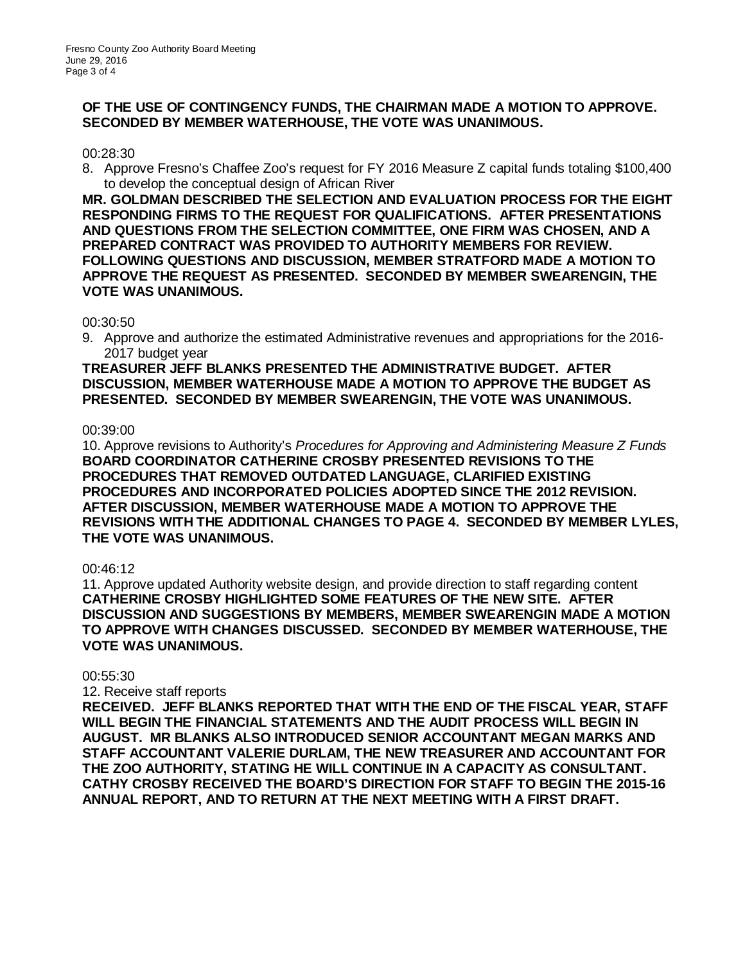## **OF THE USE OF CONTINGENCY FUNDS, THE CHAIRMAN MADE A MOTION TO APPROVE. SECONDED BY MEMBER WATERHOUSE, THE VOTE WAS UNANIMOUS.**

#### 00:28:30

8. Approve Fresno's Chaffee Zoo's request for FY 2016 Measure Z capital funds totaling \$100,400 to develop the conceptual design of African River

**MR. GOLDMAN DESCRIBED THE SELECTION AND EVALUATION PROCESS FOR THE EIGHT RESPONDING FIRMS TO THE REQUEST FOR QUALIFICATIONS. AFTER PRESENTATIONS AND QUESTIONS FROM THE SELECTION COMMITTEE, ONE FIRM WAS CHOSEN, AND A PREPARED CONTRACT WAS PROVIDED TO AUTHORITY MEMBERS FOR REVIEW. FOLLOWING QUESTIONS AND DISCUSSION, MEMBER STRATFORD MADE A MOTION TO APPROVE THE REQUEST AS PRESENTED. SECONDED BY MEMBER SWEARENGIN, THE VOTE WAS UNANIMOUS.**

## 00:30:50

9. Approve and authorize the estimated Administrative revenues and appropriations for the 2016- 2017 budget year

**TREASURER JEFF BLANKS PRESENTED THE ADMINISTRATIVE BUDGET. AFTER DISCUSSION, MEMBER WATERHOUSE MADE A MOTION TO APPROVE THE BUDGET AS PRESENTED. SECONDED BY MEMBER SWEARENGIN, THE VOTE WAS UNANIMOUS.**

## 00:39:00

10. Approve revisions to Authority's *Procedures for Approving and Administering Measure Z Funds* **BOARD COORDINATOR CATHERINE CROSBY PRESENTED REVISIONS TO THE PROCEDURES THAT REMOVED OUTDATED LANGUAGE, CLARIFIED EXISTING PROCEDURES AND INCORPORATED POLICIES ADOPTED SINCE THE 2012 REVISION. AFTER DISCUSSION, MEMBER WATERHOUSE MADE A MOTION TO APPROVE THE REVISIONS WITH THE ADDITIONAL CHANGES TO PAGE 4. SECONDED BY MEMBER LYLES, THE VOTE WAS UNANIMOUS.**

## 00:46:12

11. Approve updated Authority website design, and provide direction to staff regarding content **CATHERINE CROSBY HIGHLIGHTED SOME FEATURES OF THE NEW SITE. AFTER DISCUSSION AND SUGGESTIONS BY MEMBERS, MEMBER SWEARENGIN MADE A MOTION TO APPROVE WITH CHANGES DISCUSSED. SECONDED BY MEMBER WATERHOUSE, THE VOTE WAS UNANIMOUS.**

#### 00:55:30

12. Receive staff reports

**RECEIVED. JEFF BLANKS REPORTED THAT WITH THE END OF THE FISCAL YEAR, STAFF WILL BEGIN THE FINANCIAL STATEMENTS AND THE AUDIT PROCESS WILL BEGIN IN AUGUST. MR BLANKS ALSO INTRODUCED SENIOR ACCOUNTANT MEGAN MARKS AND STAFF ACCOUNTANT VALERIE DURLAM, THE NEW TREASURER AND ACCOUNTANT FOR THE ZOO AUTHORITY, STATING HE WILL CONTINUE IN A CAPACITY AS CONSULTANT. CATHY CROSBY RECEIVED THE BOARD'S DIRECTION FOR STAFF TO BEGIN THE 2015-16 ANNUAL REPORT, AND TO RETURN AT THE NEXT MEETING WITH A FIRST DRAFT.**